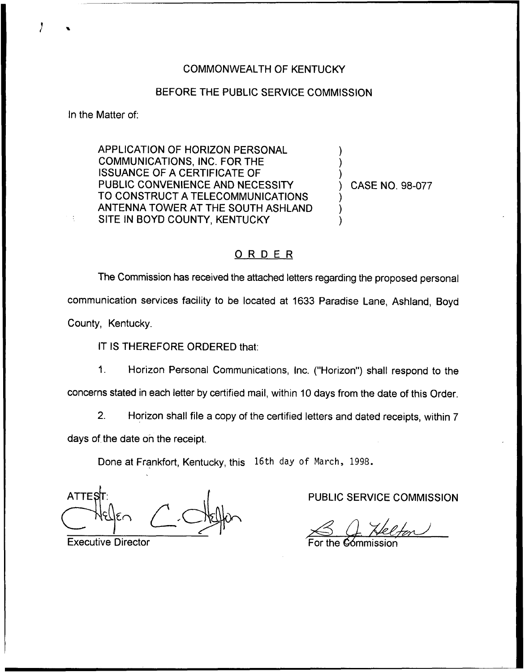## COMMONWEALTH OF KENTUCKY

## BEFORE THE PUBLIC SERVICE COMMISSION

In the Matter of:

APPLICATION OF HORIZON PERSONAL COMMUNICATIONS, INC. FOR THE ISSUANCE OF A CERTIFICATE OF PUBLIC CONVENIENCE AND NECESSITY TO CONSTRUCT A TELECOMMUNICATIONS ANTENNA TOWER AT THE SOUTH ASHLAND SITE IN BOYD COUNTY, KENTUCKY

) CASE NO. 98-077

) ) )

) )  $\overline{\phantom{a}}$ 

## ORDER

The Commission has received the attached letters regarding the proposed personal communication services facility to be located at 1633 Paradise Lane, Ashland, Boyd County, Kentucky.

IT IS THEREFORE ORDERED that:

Horizon Personal Communications, Inc. ("Horizon") shall respond to the  $1<sub>1</sub>$ concerns stated in each letter by certified mail, within 10 days from the date of this Order.

2. Horizon shall file a copy of the certified letters and dated receipts, within 7 days of the date on the receipt.

Done at Frankfort, Kentucky, this 16th day of March, 1998.

**ATTES** 

Executive Director

PUBLIC SERVICE COMMISSION

 $80$ 

For the **C**ómmissio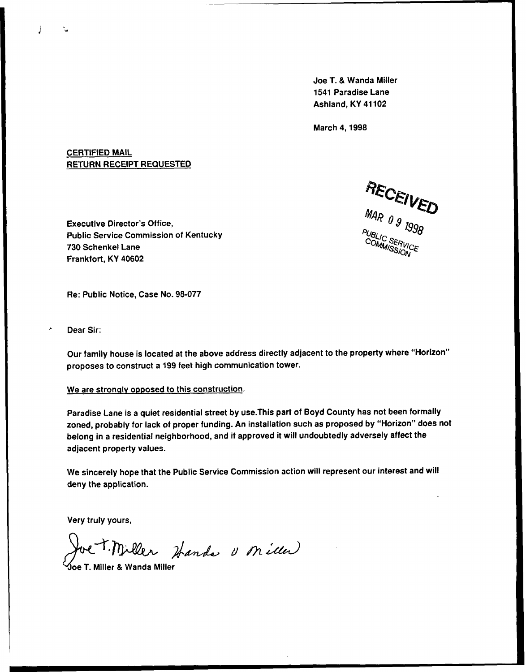Joe T. & Wanda Miller 1541 Paradise Lane Ashland, KY 41102

March 4, 1998

## CERTIFIED MAIL RETURN RECEIPT REQUESTED

RECEIVED PUBLIC SERVICE

Executive Director's Office, Public Service Commission of Kentucky 730 Schenkel Lane Frankfort, KY 40602

Re: Public Notice, Case No. 98-077

Dear Sir:

Ĵ

Our family house is located at the above address directly adjacent to the property where "Horizon" proposes to construct a 199 feet high communication tower.

We are strongly opposed to this construction.

Paradise Lane is a quiet residential street by use.This part of Boyd County has not been formally zoned, probably for lack of proper funding. An installation such as proposed by "Horizon" does not belong in a residential neighborhood, and if approved it will undoubtedly adversely affect the adjacent property values.

We sincerely hope that the Public Service Commission action will represent our interest and will deny the application.

Very truly yours,

Joe T. Miller Handa U Miller